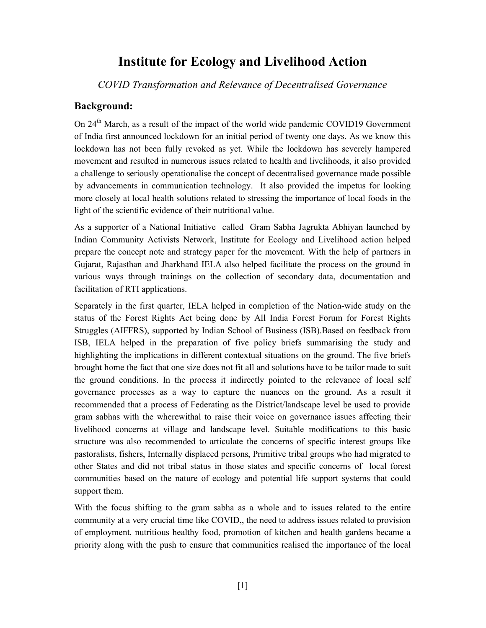## Institute for Ecology and Livelihood Action

COVID Transformation and Relevance of Decentralised Governance

#### Background:

On 24<sup>th</sup> March, as a result of the impact of the world wide pandemic COVID19 Government of India first announced lockdown for an initial period of twenty one days. As we know this lockdown has not been fully revoked as yet. While the lockdown has severely hampered movement and resulted in numerous issues related to health and livelihoods, it also provided a challenge to seriously operationalise the concept of decentralised governance made possible by advancements in communication technology. It also provided the impetus for looking more closely at local health solutions related to stressing the importance of local foods in the light of the scientific evidence of their nutritional value.

As a supporter of a National Initiative called Gram Sabha Jagrukta Abhiyan launched by Indian Community Activists Network, Institute for Ecology and Livelihood action helped prepare the concept note and strategy paper for the movement. With the help of partners in Gujarat, Rajasthan and Jharkhand IELA also helped facilitate the process on the ground in various ways through trainings on the collection of secondary data, documentation and facilitation of RTI applications.

Separately in the first quarter, IELA helped in completion of the Nation-wide study on the status of the Forest Rights Act being done by All India Forest Forum for Forest Rights Struggles (AIFFRS), supported by Indian School of Business (ISB).Based on feedback from ISB, IELA helped in the preparation of five policy briefs summarising the study and highlighting the implications in different contextual situations on the ground. The five briefs brought home the fact that one size does not fit all and solutions have to be tailor made to suit the ground conditions. In the process it indirectly pointed to the relevance of local self governance processes as a way to capture the nuances on the ground. As a result it recommended that a process of Federating as the District/landscape level be used to provide gram sabhas with the wherewithal to raise their voice on governance issues affecting their livelihood concerns at village and landscape level. Suitable modifications to this basic structure was also recommended to articulate the concerns of specific interest groups like pastoralists, fishers, Internally displaced persons, Primitive tribal groups who had migrated to other States and did not tribal status in those states and specific concerns of local forest communities based on the nature of ecology and potential life support systems that could support them.

With the focus shifting to the gram sabha as a whole and to issues related to the entire community at a very crucial time like COVID,, the need to address issues related to provision of employment, nutritious healthy food, promotion of kitchen and health gardens became a priority along with the push to ensure that communities realised the importance of the local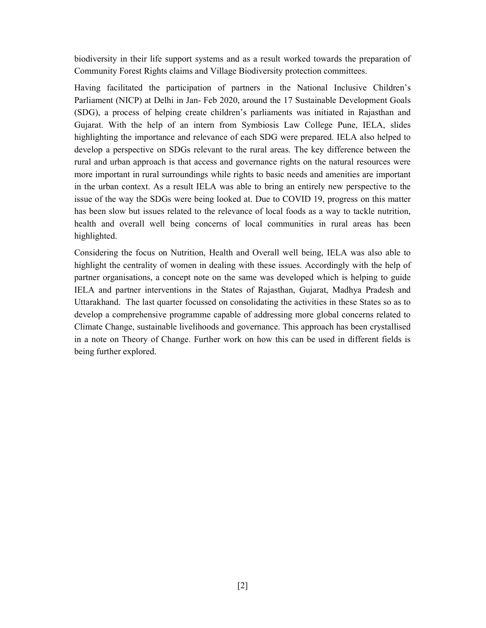biodiversity in their life support systems and as a result worked towards the preparation of Community Forest Rights claims and Village Biodiversity protection committees.

Having facilitated the participation of partners in the National Inclusive Children's Parliament (NICP) at Delhi in Jan- Feb 2020, around the 17 Sustainable Development Goals (SDG), a process of helping create children's parliaments was initiated in Rajasthan and Gujarat. With the help of an intern from Symbiosis Law College Pune, IELA, slides highlighting the importance and relevance of each SDG were prepared. IELA also helped to develop a perspective on SDGs relevant to the rural areas. The key difference between the rural and urban approach is that access and governance rights on the natural resources were more important in rural surroundings while rights to basic needs and amenities are important in the urban context. As a result IELA was able to bring an entirely new perspective to the issue of the way the SDGs were being looked at. Due to COVID 19, progress on this matter has been slow but issues related to the relevance of local foods as a way to tackle nutrition, health and overall well being concerns of local communities in rural areas has been highlighted.

Considering the focus on Nutrition, Health and Overall well being, IELA was also able to highlight the centrality of women in dealing with these issues. Accordingly with the help of partner organisations, a concept note on the same was developed which is helping to guide IELA and partner interventions in the States of Rajasthan, Gujarat, Madhya Pradesh and Uttarakhand. The last quarter focussed on consolidating the activities in these States so as to develop a comprehensive programme capable of addressing more global concerns related to Climate Change, sustainable livelihoods and governance. This approach has been crystallised in a note on Theory of Change. Further work on how this can be used in different fields is being further explored.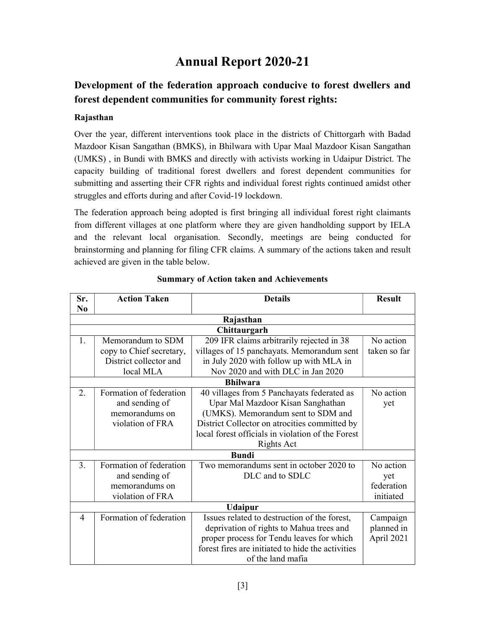# Annual Report 2020-21

## Development of the federation approach conducive to forest dwellers and forest dependent communities for community forest rights:

#### Rajasthan

Over the year, different interventions took place in the districts of Chittorgarh with Badad Mazdoor Kisan Sangathan (BMKS), in Bhilwara with Upar Maal Mazdoor Kisan Sangathan (UMKS) , in Bundi with BMKS and directly with activists working in Udaipur District. The capacity building of traditional forest dwellers and forest dependent communities for submitting and asserting their CFR rights and individual forest rights continued amidst other struggles and efforts during and after Covid-19 lockdown.

The federation approach being adopted is first bringing all individual forest right claimants from different villages at one platform where they are given handholding support by IELA and the relevant local organisation. Secondly, meetings are being conducted for brainstorming and planning for filing CFR claims. A summary of the actions taken and result achieved are given in the table below.

| Sr.             | <b>Action Taken</b>      | <b>Details</b>                                    | <b>Result</b> |  |  |  |  |
|-----------------|--------------------------|---------------------------------------------------|---------------|--|--|--|--|
| N <sub>0</sub>  |                          |                                                   |               |  |  |  |  |
| Rajasthan       |                          |                                                   |               |  |  |  |  |
| Chittaurgarh    |                          |                                                   |               |  |  |  |  |
| 1.              | Memorandum to SDM        | 209 IFR claims arbitrarily rejected in 38         | No action     |  |  |  |  |
|                 | copy to Chief secretary, | villages of 15 panchayats. Memorandum sent        | taken so far  |  |  |  |  |
|                 | District collector and   | in July 2020 with follow up with MLA in           |               |  |  |  |  |
|                 | local MLA                | Nov 2020 and with DLC in Jan 2020                 |               |  |  |  |  |
| <b>Bhilwara</b> |                          |                                                   |               |  |  |  |  |
| 2.              | Formation of federation  | 40 villages from 5 Panchayats federated as        | No action     |  |  |  |  |
|                 | and sending of           | Upar Mal Mazdoor Kisan Sanghathan                 | yet           |  |  |  |  |
|                 | memorandums on           | (UMKS). Memorandum sent to SDM and                |               |  |  |  |  |
|                 | violation of FRA         | District Collector on atrocities committed by     |               |  |  |  |  |
|                 |                          | local forest officials in violation of the Forest |               |  |  |  |  |
|                 |                          | Rights Act                                        |               |  |  |  |  |
|                 |                          | <b>Bundi</b>                                      |               |  |  |  |  |
| 3.              | Formation of federation  | Two memorandums sent in october 2020 to           | No action     |  |  |  |  |
|                 | and sending of           | DLC and to SDLC                                   | yet           |  |  |  |  |
|                 | memorandums on           |                                                   | federation    |  |  |  |  |
|                 | violation of FRA         |                                                   | initiated     |  |  |  |  |
| <b>Udaipur</b>  |                          |                                                   |               |  |  |  |  |
| 4               | Formation of federation  | Issues related to destruction of the forest,      | Campaign      |  |  |  |  |
|                 |                          | deprivation of rights to Mahua trees and          | planned in    |  |  |  |  |
|                 |                          | proper process for Tendu leaves for which         | April 2021    |  |  |  |  |
|                 |                          | forest fires are initiated to hide the activities |               |  |  |  |  |
|                 |                          | of the land mafia                                 |               |  |  |  |  |

#### Summary of Action taken and Achievements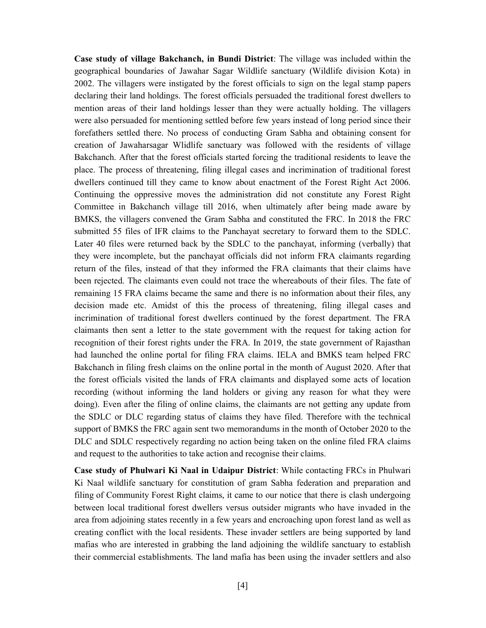Case study of village Bakchanch, in Bundi District: The village was included within the geographical boundaries of Jawahar Sagar Wildlife sanctuary (Wildlife division Kota) in 2002. The villagers were instigated by the forest officials to sign on the legal stamp papers declaring their land holdings. The forest officials persuaded the traditional forest dwellers to mention areas of their land holdings lesser than they were actually holding. The villagers were also persuaded for mentioning settled before few years instead of long period since their forefathers settled there. No process of conducting Gram Sabha and obtaining consent for creation of Jawaharsagar Wlidlife sanctuary was followed with the residents of village Bakchanch. After that the forest officials started forcing the traditional residents to leave the place. The process of threatening, filing illegal cases and incrimination of traditional forest dwellers continued till they came to know about enactment of the Forest Right Act 2006. Continuing the oppressive moves the administration did not constitute any Forest Right Committee in Bakchanch village till 2016, when ultimately after being made aware by BMKS, the villagers convened the Gram Sabha and constituted the FRC. In 2018 the FRC submitted 55 files of IFR claims to the Panchayat secretary to forward them to the SDLC. Later 40 files were returned back by the SDLC to the panchayat, informing (verbally) that they were incomplete, but the panchayat officials did not inform FRA claimants regarding return of the files, instead of that they informed the FRA claimants that their claims have been rejected. The claimants even could not trace the whereabouts of their files. The fate of remaining 15 FRA claims became the same and there is no information about their files, any decision made etc. Amidst of this the process of threatening, filing illegal cases and incrimination of traditional forest dwellers continued by the forest department. The FRA claimants then sent a letter to the state government with the request for taking action for recognition of their forest rights under the FRA. In 2019, the state government of Rajasthan had launched the online portal for filing FRA claims. IELA and BMKS team helped FRC Bakchanch in filing fresh claims on the online portal in the month of August 2020. After that the forest officials visited the lands of FRA claimants and displayed some acts of location recording (without informing the land holders or giving any reason for what they were doing). Even after the filing of online claims, the claimants are not getting any update from the SDLC or DLC regarding status of claims they have filed. Therefore with the technical support of BMKS the FRC again sent two memorandums in the month of October 2020 to the DLC and SDLC respectively regarding no action being taken on the online filed FRA claims and request to the authorities to take action and recognise their claims.

Case study of Phulwari Ki Naal in Udaipur District: While contacting FRCs in Phulwari Ki Naal wildlife sanctuary for constitution of gram Sabha federation and preparation and filing of Community Forest Right claims, it came to our notice that there is clash undergoing between local traditional forest dwellers versus outsider migrants who have invaded in the area from adjoining states recently in a few years and encroaching upon forest land as well as creating conflict with the local residents. These invader settlers are being supported by land mafias who are interested in grabbing the land adjoining the wildlife sanctuary to establish their commercial establishments. The land mafia has been using the invader settlers and also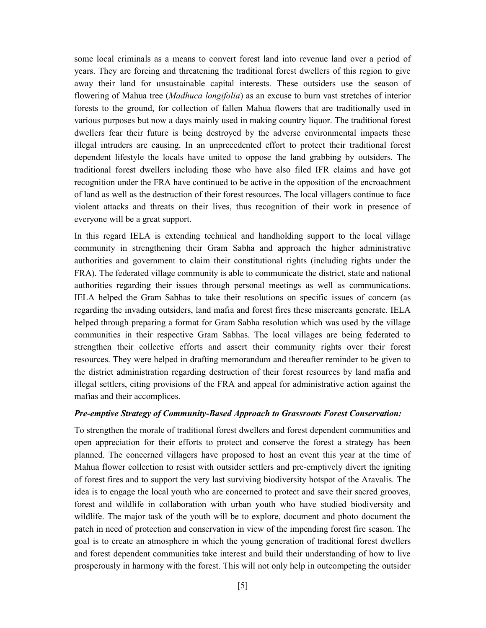some local criminals as a means to convert forest land into revenue land over a period of years. They are forcing and threatening the traditional forest dwellers of this region to give away their land for unsustainable capital interests. These outsiders use the season of flowering of Mahua tree (Madhuca longifolia) as an excuse to burn vast stretches of interior forests to the ground, for collection of fallen Mahua flowers that are traditionally used in various purposes but now a days mainly used in making country liquor. The traditional forest dwellers fear their future is being destroyed by the adverse environmental impacts these illegal intruders are causing. In an unprecedented effort to protect their traditional forest dependent lifestyle the locals have united to oppose the land grabbing by outsiders. The traditional forest dwellers including those who have also filed IFR claims and have got recognition under the FRA have continued to be active in the opposition of the encroachment of land as well as the destruction of their forest resources. The local villagers continue to face violent attacks and threats on their lives, thus recognition of their work in presence of everyone will be a great support.

In this regard IELA is extending technical and handholding support to the local village community in strengthening their Gram Sabha and approach the higher administrative authorities and government to claim their constitutional rights (including rights under the FRA). The federated village community is able to communicate the district, state and national authorities regarding their issues through personal meetings as well as communications. IELA helped the Gram Sabhas to take their resolutions on specific issues of concern (as regarding the invading outsiders, land mafia and forest fires these miscreants generate. IELA helped through preparing a format for Gram Sabha resolution which was used by the village communities in their respective Gram Sabhas. The local villages are being federated to strengthen their collective efforts and assert their community rights over their forest resources. They were helped in drafting memorandum and thereafter reminder to be given to the district administration regarding destruction of their forest resources by land mafia and illegal settlers, citing provisions of the FRA and appeal for administrative action against the mafias and their accomplices.

#### Pre-emptive Strategy of Community-Based Approach to Grassroots Forest Conservation:

To strengthen the morale of traditional forest dwellers and forest dependent communities and open appreciation for their efforts to protect and conserve the forest a strategy has been planned. The concerned villagers have proposed to host an event this year at the time of Mahua flower collection to resist with outsider settlers and pre-emptively divert the igniting of forest fires and to support the very last surviving biodiversity hotspot of the Aravalis. The idea is to engage the local youth who are concerned to protect and save their sacred grooves, forest and wildlife in collaboration with urban youth who have studied biodiversity and wildlife. The major task of the youth will be to explore, document and photo document the patch in need of protection and conservation in view of the impending forest fire season. The goal is to create an atmosphere in which the young generation of traditional forest dwellers and forest dependent communities take interest and build their understanding of how to live prosperously in harmony with the forest. This will not only help in outcompeting the outsider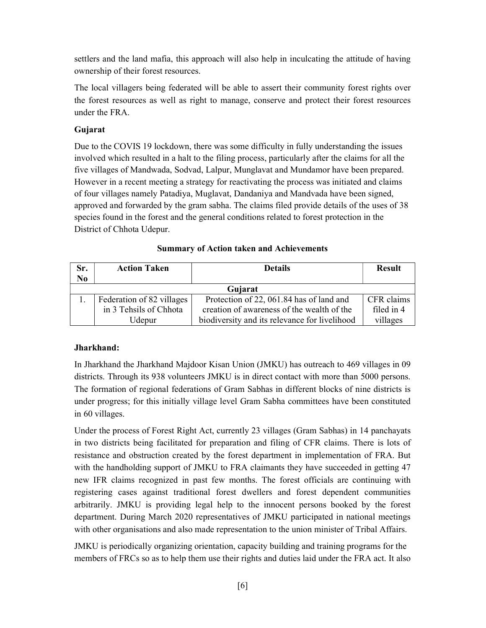settlers and the land mafia, this approach will also help in inculcating the attitude of having ownership of their forest resources.

The local villagers being federated will be able to assert their community forest rights over the forest resources as well as right to manage, conserve and protect their forest resources under the FRA.

#### Gujarat

Due to the COVIS 19 lockdown, there was some difficulty in fully understanding the issues involved which resulted in a halt to the filing process, particularly after the claims for all the five villages of Mandwada, Sodvad, Lalpur, Munglavat and Mundamor have been prepared. However in a recent meeting a strategy for reactivating the process was initiated and claims of four villages namely Patadiya, Muglavat, Dandaniya and Mandvada have been signed, approved and forwarded by the gram sabha. The claims filed provide details of the uses of 38 species found in the forest and the general conditions related to forest protection in the District of Chhota Udepur.

| Sr.<br>$\overline{\text{No}}$ | <b>Action Taken</b>       | <b>Details</b>                                | <b>Result</b> |  |  |
|-------------------------------|---------------------------|-----------------------------------------------|---------------|--|--|
| Gujarat                       |                           |                                               |               |  |  |
|                               | Federation of 82 villages | Protection of 22, 061.84 has of land and      | CFR claims    |  |  |
|                               | in 3 Tehsils of Chhota    | creation of awareness of the wealth of the    | filed in 4    |  |  |
|                               | Udepur                    | biodiversity and its relevance for livelihood | villages      |  |  |

|  |  |  | <b>Summary of Action taken and Achievements</b> |
|--|--|--|-------------------------------------------------|
|--|--|--|-------------------------------------------------|

#### Jharkhand:

In Jharkhand the Jharkhand Majdoor Kisan Union (JMKU) has outreach to 469 villages in 09 districts. Through its 938 volunteers JMKU is in direct contact with more than 5000 persons. The formation of regional federations of Gram Sabhas in different blocks of nine districts is under progress; for this initially village level Gram Sabha committees have been constituted in 60 villages.

Under the process of Forest Right Act, currently 23 villages (Gram Sabhas) in 14 panchayats in two districts being facilitated for preparation and filing of CFR claims. There is lots of resistance and obstruction created by the forest department in implementation of FRA. But with the handholding support of JMKU to FRA claimants they have succeeded in getting 47 new IFR claims recognized in past few months. The forest officials are continuing with registering cases against traditional forest dwellers and forest dependent communities arbitrarily. JMKU is providing legal help to the innocent persons booked by the forest department. During March 2020 representatives of JMKU participated in national meetings with other organisations and also made representation to the union minister of Tribal Affairs.

JMKU is periodically organizing orientation, capacity building and training programs for the members of FRCs so as to help them use their rights and duties laid under the FRA act. It also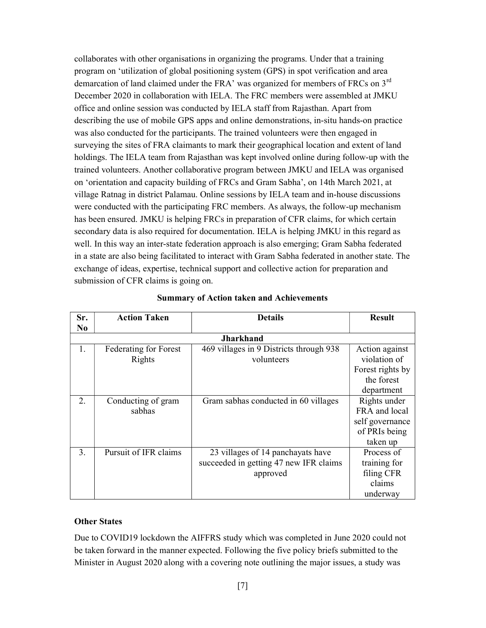collaborates with other organisations in organizing the programs. Under that a training program on 'utilization of global positioning system (GPS) in spot verification and area demarcation of land claimed under the FRA' was organized for members of FRCs on 3<sup>rd</sup> December 2020 in collaboration with IELA. The FRC members were assembled at JMKU office and online session was conducted by IELA staff from Rajasthan. Apart from describing the use of mobile GPS apps and online demonstrations, in-situ hands-on practice was also conducted for the participants. The trained volunteers were then engaged in surveying the sites of FRA claimants to mark their geographical location and extent of land holdings. The IELA team from Rajasthan was kept involved online during follow-up with the trained volunteers. Another collaborative program between JMKU and IELA was organised on 'orientation and capacity building of FRCs and Gram Sabha', on 14th March 2021, at village Ratnag in district Palamau. Online sessions by IELA team and in-house discussions were conducted with the participating FRC members. As always, the follow-up mechanism has been ensured. JMKU is helping FRCs in preparation of CFR claims, for which certain secondary data is also required for documentation. IELA is helping JMKU in this regard as well. In this way an inter-state federation approach is also emerging; Gram Sabha federated in a state are also being facilitated to interact with Gram Sabha federated in another state. The exchange of ideas, expertise, technical support and collective action for preparation and submission of CFR claims is going on.

| Sr.              | <b>Action Taken</b>                    | <b>Details</b>                                                                          | <b>Result</b>                                                                  |  |  |  |
|------------------|----------------------------------------|-----------------------------------------------------------------------------------------|--------------------------------------------------------------------------------|--|--|--|
| N <sub>0</sub>   |                                        |                                                                                         |                                                                                |  |  |  |
| <b>Jharkhand</b> |                                        |                                                                                         |                                                                                |  |  |  |
| $\mathbf{1}$ .   | <b>Federating for Forest</b><br>Rights | 469 villages in 9 Districts through 938<br>volunteers                                   | Action against<br>violation of<br>Forest rights by<br>the forest<br>department |  |  |  |
| 2.               | Conducting of gram<br>sabhas           | Gram sabhas conducted in 60 villages                                                    | Rights under<br>FRA and local<br>self governance<br>of PRIs being<br>taken up  |  |  |  |
| 3.               | Pursuit of IFR claims                  | 23 villages of 14 panchayats have<br>succeeded in getting 47 new IFR claims<br>approved | Process of<br>training for<br>filing CFR<br>claims<br>underway                 |  |  |  |

#### Summary of Action taken and Achievements

#### Other States

Due to COVID19 lockdown the AIFFRS study which was completed in June 2020 could not be taken forward in the manner expected. Following the five policy briefs submitted to the Minister in August 2020 along with a covering note outlining the major issues, a study was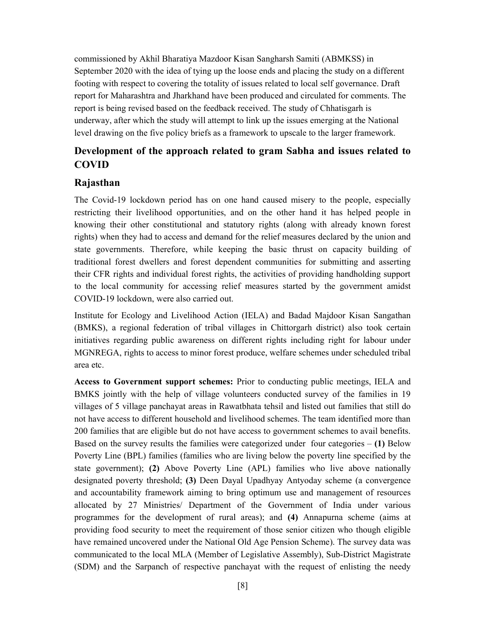commissioned by Akhil Bharatiya Mazdoor Kisan Sangharsh Samiti (ABMKSS) in September 2020 with the idea of tying up the loose ends and placing the study on a different footing with respect to covering the totality of issues related to local self governance. Draft report for Maharashtra and Jharkhand have been produced and circulated for comments. The report is being revised based on the feedback received. The study of Chhatisgarh is underway, after which the study will attempt to link up the issues emerging at the National level drawing on the five policy briefs as a framework to upscale to the larger framework.

### Development of the approach related to gram Sabha and issues related to COVID

#### Rajasthan

The Covid-19 lockdown period has on one hand caused misery to the people, especially restricting their livelihood opportunities, and on the other hand it has helped people in knowing their other constitutional and statutory rights (along with already known forest rights) when they had to access and demand for the relief measures declared by the union and state governments. Therefore, while keeping the basic thrust on capacity building of traditional forest dwellers and forest dependent communities for submitting and asserting their CFR rights and individual forest rights, the activities of providing handholding support to the local community for accessing relief measures started by the government amidst COVID-19 lockdown, were also carried out.

Institute for Ecology and Livelihood Action (IELA) and Badad Majdoor Kisan Sangathan (BMKS), a regional federation of tribal villages in Chittorgarh district) also took certain initiatives regarding public awareness on different rights including right for labour under MGNREGA, rights to access to minor forest produce, welfare schemes under scheduled tribal area etc.

Access to Government support schemes: Prior to conducting public meetings, IELA and BMKS jointly with the help of village volunteers conducted survey of the families in 19 villages of 5 village panchayat areas in Rawatbhata tehsil and listed out families that still do not have access to different household and livelihood schemes. The team identified more than 200 families that are eligible but do not have access to government schemes to avail benefits. Based on the survey results the families were categorized under four categories  $- (1)$  Below Poverty Line (BPL) families (families who are living below the poverty line specified by the state government); (2) Above Poverty Line (APL) families who live above nationally designated poverty threshold; (3) Deen Dayal Upadhyay Antyoday scheme (a convergence and accountability framework aiming to bring optimum use and management of resources allocated by 27 Ministries/ Department of the Government of India under various programmes for the development of rural areas); and (4) Annapurna scheme (aims at providing food security to meet the requirement of those senior citizen who though eligible have remained uncovered under the National Old Age Pension Scheme). The survey data was communicated to the local MLA (Member of Legislative Assembly), Sub-District Magistrate (SDM) and the Sarpanch of respective panchayat with the request of enlisting the needy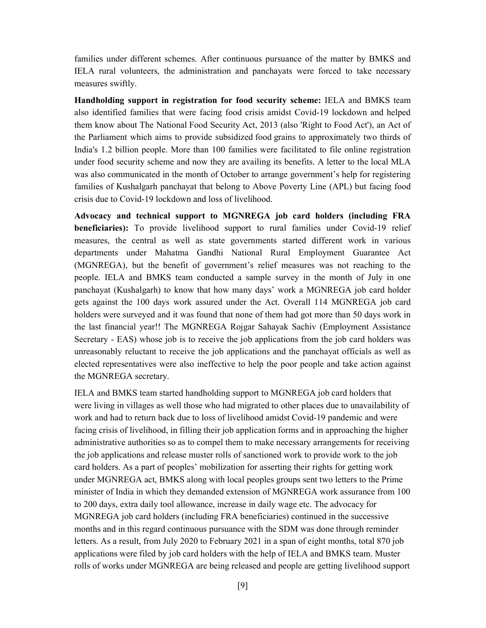families under different schemes. After continuous pursuance of the matter by BMKS and IELA rural volunteers, the administration and panchayats were forced to take necessary measures swiftly.

Handholding support in registration for food security scheme: IELA and BMKS team also identified families that were facing food crisis amidst Covid-19 lockdown and helped them know about The National Food Security Act, 2013 (also 'Right to Food Act'), an Act of the Parliament which aims to provide subsidized food grains to approximately two thirds of India's 1.2 billion people. More than 100 families were facilitated to file online registration under food security scheme and now they are availing its benefits. A letter to the local MLA was also communicated in the month of October to arrange government's help for registering families of Kushalgarh panchayat that belong to Above Poverty Line (APL) but facing food crisis due to Covid-19 lockdown and loss of livelihood.

Advocacy and technical support to MGNREGA job card holders (including FRA beneficiaries): To provide livelihood support to rural families under Covid-19 relief measures, the central as well as state governments started different work in various departments under Mahatma Gandhi National Rural Employment Guarantee Act (MGNREGA), but the benefit of government's relief measures was not reaching to the people. IELA and BMKS team conducted a sample survey in the month of July in one panchayat (Kushalgarh) to know that how many days' work a MGNREGA job card holder gets against the 100 days work assured under the Act. Overall 114 MGNREGA job card holders were surveyed and it was found that none of them had got more than 50 days work in the last financial year!! The MGNREGA Rojgar Sahayak Sachiv (Employment Assistance Secretary - EAS) whose job is to receive the job applications from the job card holders was unreasonably reluctant to receive the job applications and the panchayat officials as well as elected representatives were also ineffective to help the poor people and take action against the MGNREGA secretary.

IELA and BMKS team started handholding support to MGNREGA job card holders that were living in villages as well those who had migrated to other places due to unavailability of work and had to return back due to loss of livelihood amidst Covid-19 pandemic and were facing crisis of livelihood, in filling their job application forms and in approaching the higher administrative authorities so as to compel them to make necessary arrangements for receiving the job applications and release muster rolls of sanctioned work to provide work to the job card holders. As a part of peoples' mobilization for asserting their rights for getting work under MGNREGA act, BMKS along with local peoples groups sent two letters to the Prime minister of India in which they demanded extension of MGNREGA work assurance from 100 to 200 days, extra daily tool allowance, increase in daily wage etc. The advocacy for MGNREGA job card holders (including FRA beneficiaries) continued in the successive months and in this regard continuous pursuance with the SDM was done through reminder letters. As a result, from July 2020 to February 2021 in a span of eight months, total 870 job applications were filed by job card holders with the help of IELA and BMKS team. Muster rolls of works under MGNREGA are being released and people are getting livelihood support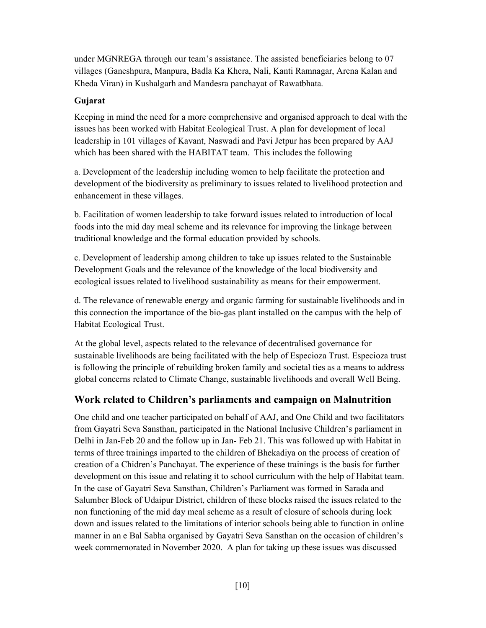under MGNREGA through our team's assistance. The assisted beneficiaries belong to 07 villages (Ganeshpura, Manpura, Badla Ka Khera, Nali, Kanti Ramnagar, Arena Kalan and Kheda Viran) in Kushalgarh and Mandesra panchayat of Rawatbhata.

#### Gujarat

Keeping in mind the need for a more comprehensive and organised approach to deal with the issues has been worked with Habitat Ecological Trust. A plan for development of local leadership in 101 villages of Kavant, Naswadi and Pavi Jetpur has been prepared by AAJ which has been shared with the HABITAT team. This includes the following

a. Development of the leadership including women to help facilitate the protection and development of the biodiversity as preliminary to issues related to livelihood protection and enhancement in these villages.

b. Facilitation of women leadership to take forward issues related to introduction of local foods into the mid day meal scheme and its relevance for improving the linkage between traditional knowledge and the formal education provided by schools.

c. Development of leadership among children to take up issues related to the Sustainable Development Goals and the relevance of the knowledge of the local biodiversity and ecological issues related to livelihood sustainability as means for their empowerment.

d. The relevance of renewable energy and organic farming for sustainable livelihoods and in this connection the importance of the bio-gas plant installed on the campus with the help of Habitat Ecological Trust.

At the global level, aspects related to the relevance of decentralised governance for sustainable livelihoods are being facilitated with the help of Especioza Trust. Especioza trust is following the principle of rebuilding broken family and societal ties as a means to address global concerns related to Climate Change, sustainable livelihoods and overall Well Being.

### Work related to Children's parliaments and campaign on Malnutrition

One child and one teacher participated on behalf of AAJ, and One Child and two facilitators from Gayatri Seva Sansthan, participated in the National Inclusive Children's parliament in Delhi in Jan-Feb 20 and the follow up in Jan- Feb 21. This was followed up with Habitat in terms of three trainings imparted to the children of Bhekadiya on the process of creation of creation of a Chidren's Panchayat. The experience of these trainings is the basis for further development on this issue and relating it to school curriculum with the help of Habitat team. In the case of Gayatri Seva Sansthan, Children's Parliament was formed in Sarada and Salumber Block of Udaipur District, children of these blocks raised the issues related to the non functioning of the mid day meal scheme as a result of closure of schools during lock down and issues related to the limitations of interior schools being able to function in online manner in an e Bal Sabha organised by Gayatri Seva Sansthan on the occasion of children's week commemorated in November 2020. A plan for taking up these issues was discussed